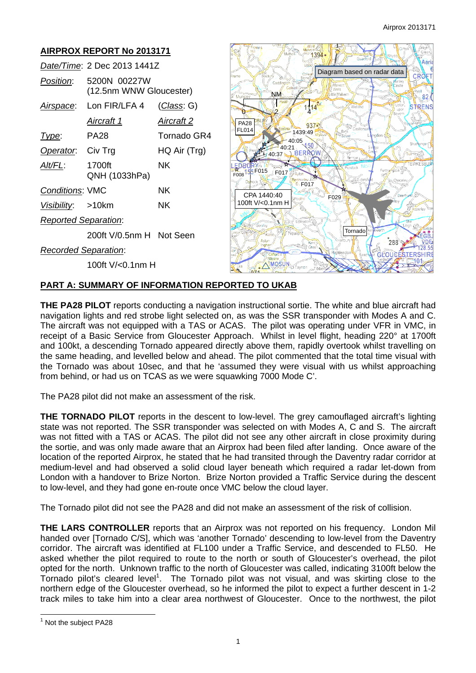

# **PART A: SUMMARY OF INFORMATION REPORTED TO UKAB**

**THE PA28 PILOT** reports conducting a navigation instructional sortie. The white and blue aircraft had navigation lights and red strobe light selected on, as was the SSR transponder with Modes A and C. The aircraft was not equipped with a TAS or ACAS. The pilot was operating under VFR in VMC, in receipt of a Basic Service from Gloucester Approach. Whilst in level flight, heading 220° at 1700ft and 100kt, a descending Tornado appeared directly above them, rapidly overtook whilst travelling on the same heading, and levelled below and ahead. The pilot commented that the total time visual with the Tornado was about 10sec, and that he 'assumed they were visual with us whilst approaching from behind, or had us on TCAS as we were squawking 7000 Mode C'.

The PA28 pilot did not make an assessment of the risk.

**THE TORNADO PILOT** reports in the descent to low-level. The grey camouflaged aircraft's lighting state was not reported. The SSR transponder was selected on with Modes A, C and S. The aircraft was not fitted with a TAS or ACAS. The pilot did not see any other aircraft in close proximity during the sortie, and was only made aware that an Airprox had been filed after landing. Once aware of the location of the reported Airprox, he stated that he had transited through the Daventry radar corridor at medium-level and had observed a solid cloud layer beneath which required a radar let-down from London with a handover to Brize Norton. Brize Norton provided a Traffic Service during the descent to low-level, and they had gone en-route once VMC below the cloud layer.

The Tornado pilot did not see the PA28 and did not make an assessment of the risk of collision.

**THE LARS CONTROLLER** reports that an Airprox was not reported on his frequency. London Mil handed over [Tornado C/S], which was 'another Tornado' descending to low-level from the Daventry corridor. The aircraft was identified at FL100 under a Traffic Service, and descended to FL50. He asked whether the pilot required to route to the north or south of Gloucester's overhead, the pilot opted for the north. Unknown traffic to the north of Gloucester was called, indicating 3100ft below the Tornado pilot's cleared level<sup>1</sup>. The Tornado pilot was not visual, and was skirting close to the northern edge of the Gloucester overhead, so he informed the pilot to expect a further descent in 1-2 track miles to take him into a clear area northwest of Gloucester. Once to the northwest, the pilot

 <sup>1</sup> Not the subject PA28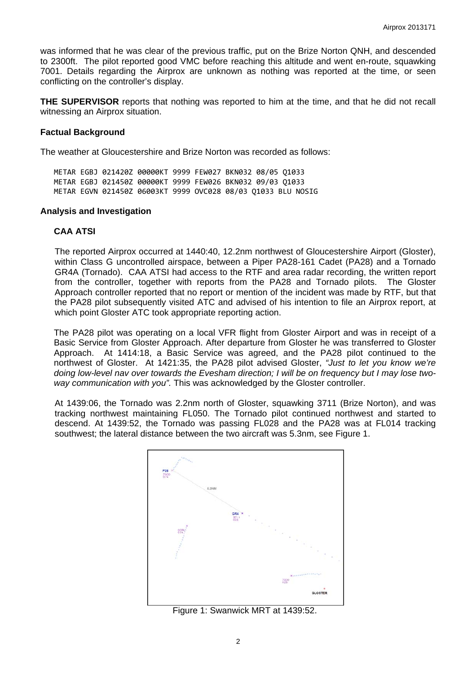was informed that he was clear of the previous traffic, put on the Brize Norton QNH, and descended to 2300ft. The pilot reported good VMC before reaching this altitude and went en-route, squawking 7001. Details regarding the Airprox are unknown as nothing was reported at the time, or seen conflicting on the controller's display.

**THE SUPERVISOR** reports that nothing was reported to him at the time, and that he did not recall witnessing an Airprox situation.

#### **Factual Background**

The weather at Gloucestershire and Brize Norton was recorded as follows:

METAR EGBJ 021420Z 00000KT 9999 FEW027 BKN032 08/05 Q1033 METAR EGBJ 021450Z 00000KT 9999 FEW026 BKN032 09/03 Q1033 METAR EGVN 021450Z 06003KT 9999 OVC028 08/03 Q1033 BLU NOSIG

#### **Analysis and Investigation**

#### **CAA ATSI**

The reported Airprox occurred at 1440:40, 12.2nm northwest of Gloucestershire Airport (Gloster), within Class G uncontrolled airspace, between a Piper PA28-161 Cadet (PA28) and a Tornado GR4A (Tornado). CAA ATSI had access to the RTF and area radar recording, the written report from the controller, together with reports from the PA28 and Tornado pilots. The Gloster Approach controller reported that no report or mention of the incident was made by RTF, but that the PA28 pilot subsequently visited ATC and advised of his intention to file an Airprox report, at which point Gloster ATC took appropriate reporting action.

The PA28 pilot was operating on a local VFR flight from Gloster Airport and was in receipt of a Basic Service from Gloster Approach. After departure from Gloster he was transferred to Gloster Approach. At 1414:18, a Basic Service was agreed, and the PA28 pilot continued to the northwest of Gloster. At 1421:35, the PA28 pilot advised Gloster, *"Just to let you know we're doing low-level nav over towards the Evesham direction; I will be on frequency but I may lose twoway communication with you".* This was acknowledged by the Gloster controller.

At 1439:06, the Tornado was 2.2nm north of Gloster, squawking 3711 (Brize Norton), and was tracking northwest maintaining FL050. The Tornado pilot continued northwest and started to descend. At 1439:52, the Tornado was passing FL028 and the PA28 was at FL014 tracking southwest; the lateral distance between the two aircraft was 5.3nm, see Figure 1.



Figure 1: Swanwick MRT at 1439:52.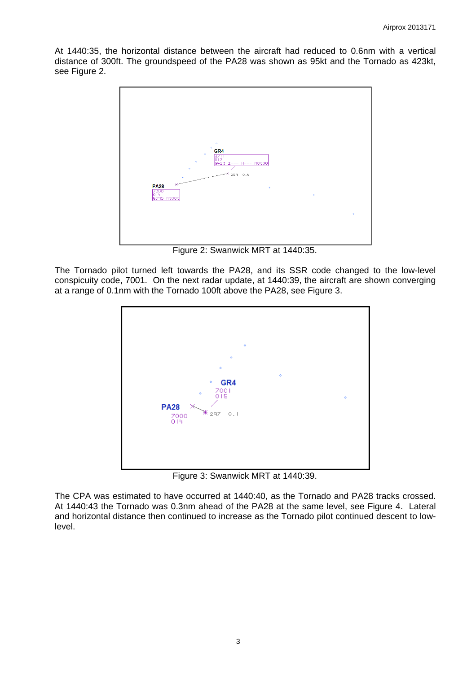At 1440:35, the horizontal distance between the aircraft had reduced to 0.6nm with a vertical distance of 300ft. The groundspeed of the PA28 was shown as 95kt and the Tornado as 423kt, see Figure 2.



Figure 2: Swanwick MRT at 1440:35.

The Tornado pilot turned left towards the PA28, and its SSR code changed to the low-level conspicuity code, 7001. On the next radar update, at 1440:39, the aircraft are shown converging at a range of 0.1nm with the Tornado 100ft above the PA28, see Figure 3.



Figure 3: Swanwick MRT at 1440:39.

The CPA was estimated to have occurred at 1440:40, as the Tornado and PA28 tracks crossed. At 1440:43 the Tornado was 0.3nm ahead of the PA28 at the same level, see Figure 4. Lateral and horizontal distance then continued to increase as the Tornado pilot continued descent to lowlevel.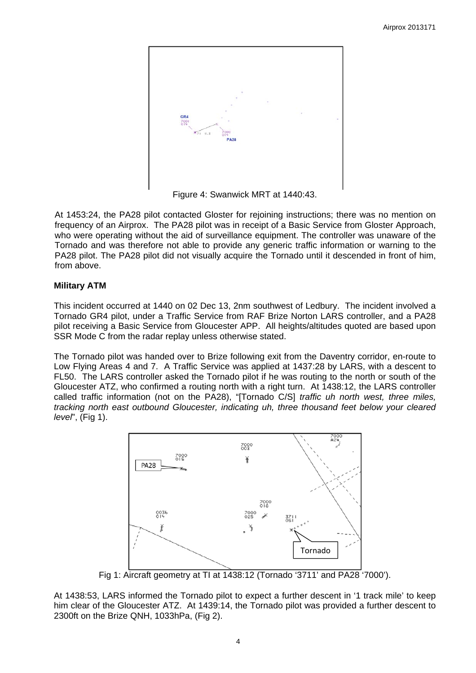

Figure 4: Swanwick MRT at 1440:43.

At 1453:24, the PA28 pilot contacted Gloster for rejoining instructions; there was no mention on frequency of an Airprox. The PA28 pilot was in receipt of a Basic Service from Gloster Approach, who were operating without the aid of surveillance equipment. The controller was unaware of the Tornado and was therefore not able to provide any generic traffic information or warning to the PA28 pilot. The PA28 pilot did not visually acquire the Tornado until it descended in front of him, from above.

# **Military ATM**

This incident occurred at 1440 on 02 Dec 13, 2nm southwest of Ledbury. The incident involved a Tornado GR4 pilot, under a Traffic Service from RAF Brize Norton LARS controller, and a PA28 pilot receiving a Basic Service from Gloucester APP. All heights/altitudes quoted are based upon SSR Mode C from the radar replay unless otherwise stated.

The Tornado pilot was handed over to Brize following exit from the Daventry corridor, en-route to Low Flying Areas 4 and 7. A Traffic Service was applied at 1437:28 by LARS, with a descent to FL50. The LARS controller asked the Tornado pilot if he was routing to the north or south of the Gloucester ATZ, who confirmed a routing north with a right turn. At 1438:12, the LARS controller called traffic information (not on the PA28), "[Tornado C/S] *traffic uh north west, three miles, tracking north east outbound Gloucester, indicating uh, three thousand feet below your cleared level*", (Fig 1).



Fig 1: Aircraft geometry at TI at 1438:12 (Tornado '3711' and PA28 '7000').

At 1438:53, LARS informed the Tornado pilot to expect a further descent in '1 track mile' to keep him clear of the Gloucester ATZ. At 1439:14, the Tornado pilot was provided a further descent to 2300ft on the Brize QNH, 1033hPa, (Fig 2).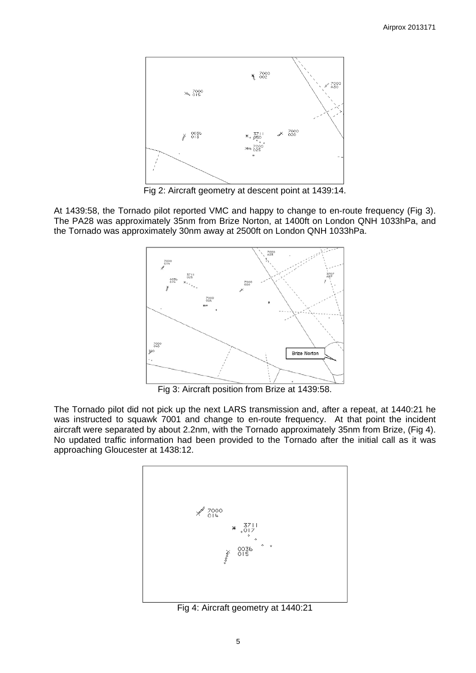

Fig 2: Aircraft geometry at descent point at 1439:14.

At 1439:58, the Tornado pilot reported VMC and happy to change to en-route frequency (Fig 3). The PA28 was approximately 35nm from Brize Norton, at 1400ft on London QNH 1033hPa, and the Tornado was approximately 30nm away at 2500ft on London QNH 1033hPa.



Fig 3: Aircraft position from Brize at 1439:58.

The Tornado pilot did not pick up the next LARS transmission and, after a repeat, at 1440:21 he was instructed to squawk 7001 and change to en-route frequency. At that point the incident aircraft were separated by about 2.2nm, with the Tornado approximately 35nm from Brize, (Fig 4). No updated traffic information had been provided to the Tornado after the initial call as it was approaching Gloucester at 1438:12.



Fig 4: Aircraft geometry at 1440:21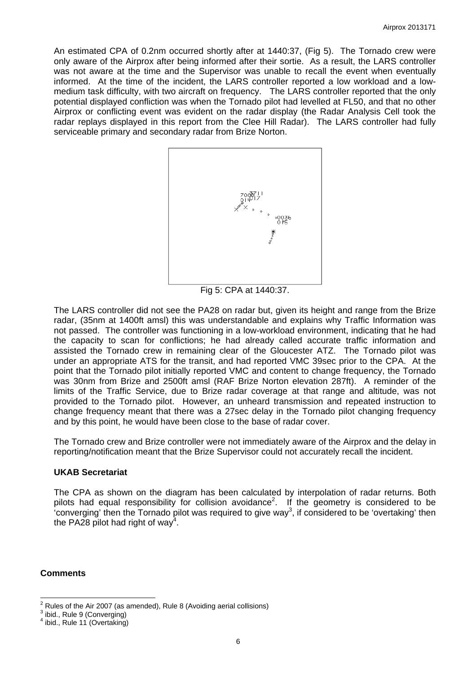An estimated CPA of 0.2nm occurred shortly after at 1440:37, (Fig 5). The Tornado crew were only aware of the Airprox after being informed after their sortie. As a result, the LARS controller was not aware at the time and the Supervisor was unable to recall the event when eventually informed. At the time of the incident, the LARS controller reported a low workload and a lowmedium task difficulty, with two aircraft on frequency. The LARS controller reported that the only potential displayed confliction was when the Tornado pilot had levelled at FL50, and that no other Airprox or conflicting event was evident on the radar display (the Radar Analysis Cell took the radar replays displayed in this report from the Clee Hill Radar). The LARS controller had fully serviceable primary and secondary radar from Brize Norton.



Fig 5: CPA at 1440:37.

The LARS controller did not see the PA28 on radar but, given its height and range from the Brize radar, (35nm at 1400ft amsl) this was understandable and explains why Traffic Information was not passed. The controller was functioning in a low-workload environment, indicating that he had the capacity to scan for conflictions; he had already called accurate traffic information and assisted the Tornado crew in remaining clear of the Gloucester ATZ. The Tornado pilot was under an appropriate ATS for the transit, and had reported VMC 39sec prior to the CPA. At the point that the Tornado pilot initially reported VMC and content to change frequency, the Tornado was 30nm from Brize and 2500ft amsl (RAF Brize Norton elevation 287ft). A reminder of the limits of the Traffic Service, due to Brize radar coverage at that range and altitude, was not provided to the Tornado pilot. However, an unheard transmission and repeated instruction to change frequency meant that there was a 27sec delay in the Tornado pilot changing frequency and by this point, he would have been close to the base of radar cover.

The Tornado crew and Brize controller were not immediately aware of the Airprox and the delay in reporting/notification meant that the Brize Supervisor could not accurately recall the incident.

#### **UKAB Secretariat**

The CPA as shown on the diagram has been calculated by interpolation of radar returns. Both pilots had equal responsibility for collision avoidance<sup>2</sup>. If the geometry is considered to be 'converging' then the Tornado pilot was required to give way<sup>3</sup>, if considered to be 'overtaking' then the PA28 pilot had right of way<sup>4</sup>.

# **Comments**

 $\frac{2}{3}$  Rules of the Air 2007 (as amended), Rule 8 (Avoiding aerial collisions)

<sup>&</sup>lt;sup>3</sup> ibid., Rule 9 (Converging)

 $4$  ibid., Rule 11 (Overtaking)